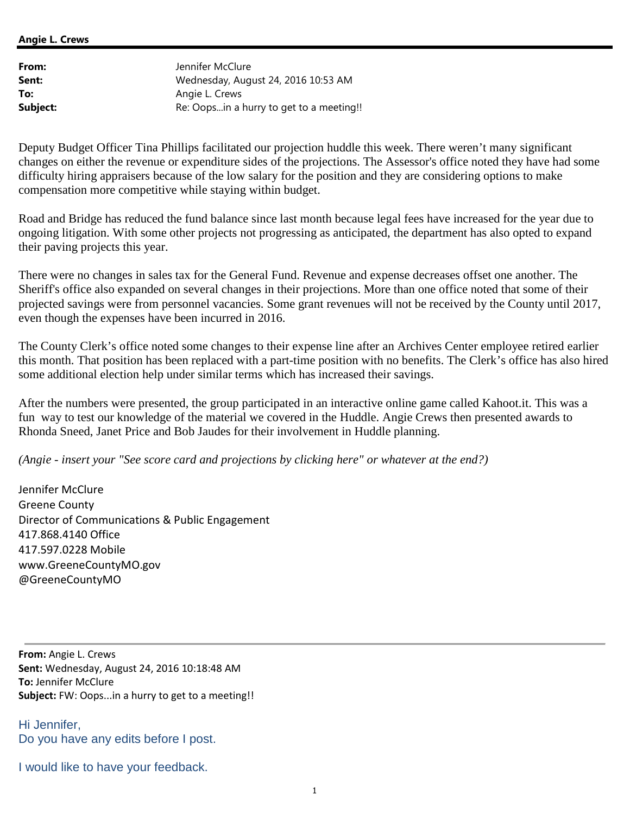## **Angie L. Crews**

| From:    | Jennifer McClure                         |
|----------|------------------------------------------|
| Sent:    | Wednesday, August 24, 2016 10:53 AM      |
| To:      | Angie L. Crews                           |
| Subject: | Re: Oops in a hurry to get to a meeting! |

Deputy Budget Officer Tina Phillips facilitated our projection huddle this week. There weren't many significant changes on either the revenue or expenditure sides of the projections. The Assessor's office noted they have had some difficulty hiring appraisers because of the low salary for the position and they are considering options to make compensation more competitive while staying within budget.

Road and Bridge has reduced the fund balance since last month because legal fees have increased for the year due to ongoing litigation. With some other projects not progressing as anticipated, the department has also opted to expand their paving projects this year.

There were no changes in sales tax for the General Fund. Revenue and expense decreases offset one another. The Sheriff's office also expanded on several changes in their projections. More than one office noted that some of their projected savings were from personnel vacancies. Some grant revenues will not be received by the County until 2017, even though the expenses have been incurred in 2016.

The County Clerk's office noted some changes to their expense line after an Archives Center employee retired earlier this month. That position has been replaced with a part-time position with no benefits. The Clerk's office has also hired some additional election help under similar terms which has increased their savings.

After the numbers were presented, the group participated in an interactive online game called Kahoot.it. This was a fun way to test our knowledge of the material we covered in the Huddle. Angie Crews then presented awards to Rhonda Sneed, Janet Price and Bob Jaudes for their involvement in Huddle planning.

*(Angie - insert your "See score card and projections by clicking here" or whatever at the end?)*

Jennifer McClure Greene County Director of Communications & Public Engagement 417.868.4140 Office 417.597.0228 Mobile www.GreeneCountyMO.gov @GreeneCountyMO

**From:** Angie L. Crews **Sent:** Wednesday, August 24, 2016 10:18:48 AM **To:** Jennifer McClure **Subject:** FW: Oops...in a hurry to get to a meeting!!

Hi Jennifer, Do you have any edits before I post.

I would like to have your feedback.